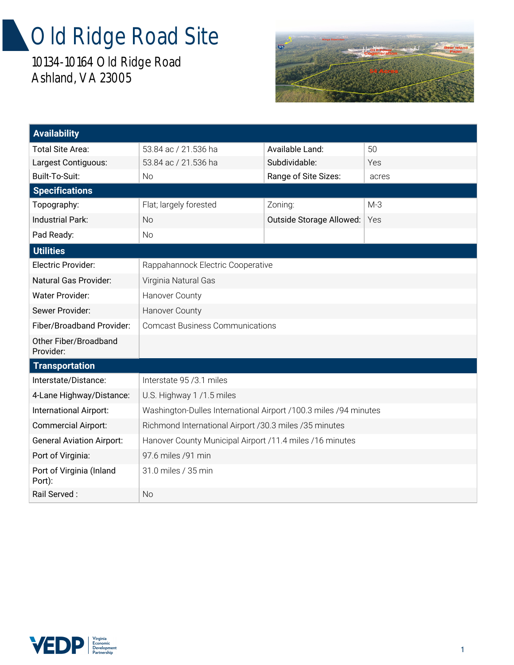## Old Ridge Road Site

10134-10164 Old Ridge Road Ashland, VA 23005



| <b>Availability</b>                |                                                                  |                          |       |
|------------------------------------|------------------------------------------------------------------|--------------------------|-------|
| Total Site Area:                   | 53.84 ac / 21.536 ha                                             | Available Land:          | 50    |
| Largest Contiguous:                | 53.84 ac / 21.536 ha                                             | Subdividable:            | Yes   |
| Built-To-Suit:                     | No                                                               | Range of Site Sizes:     | acres |
| <b>Specifications</b>              |                                                                  |                          |       |
| Topography:                        | Flat; largely forested                                           | Zoning:                  | $M-3$ |
| Industrial Park:                   | <b>No</b>                                                        | Outside Storage Allowed: | Yes   |
| Pad Ready:                         | <b>No</b>                                                        |                          |       |
| <b>Utilities</b>                   |                                                                  |                          |       |
| Electric Provider:                 | Rappahannock Electric Cooperative                                |                          |       |
| Natural Gas Provider:              | Virginia Natural Gas                                             |                          |       |
| <b>Water Provider:</b>             | Hanover County                                                   |                          |       |
| Sewer Provider:                    | Hanover County                                                   |                          |       |
| Fiber/Broadband Provider:          | <b>Comcast Business Communications</b>                           |                          |       |
| Other Fiber/Broadband<br>Provider: |                                                                  |                          |       |
| <b>Transportation</b>              |                                                                  |                          |       |
| Interstate/Distance:               | Interstate 95/3.1 miles                                          |                          |       |
| 4-Lane Highway/Distance:           | U.S. Highway 1/1.5 miles                                         |                          |       |
| International Airport:             | Washington-Dulles International Airport /100.3 miles /94 minutes |                          |       |
| <b>Commercial Airport:</b>         | Richmond International Airport /30.3 miles /35 minutes           |                          |       |
| <b>General Aviation Airport:</b>   | Hanover County Municipal Airport /11.4 miles /16 minutes         |                          |       |
| Port of Virginia:                  | 97.6 miles /91 min                                               |                          |       |
| Port of Virginia (Inland<br>Port): | 31.0 miles / 35 min                                              |                          |       |
| Rail Served:                       | <b>No</b>                                                        |                          |       |